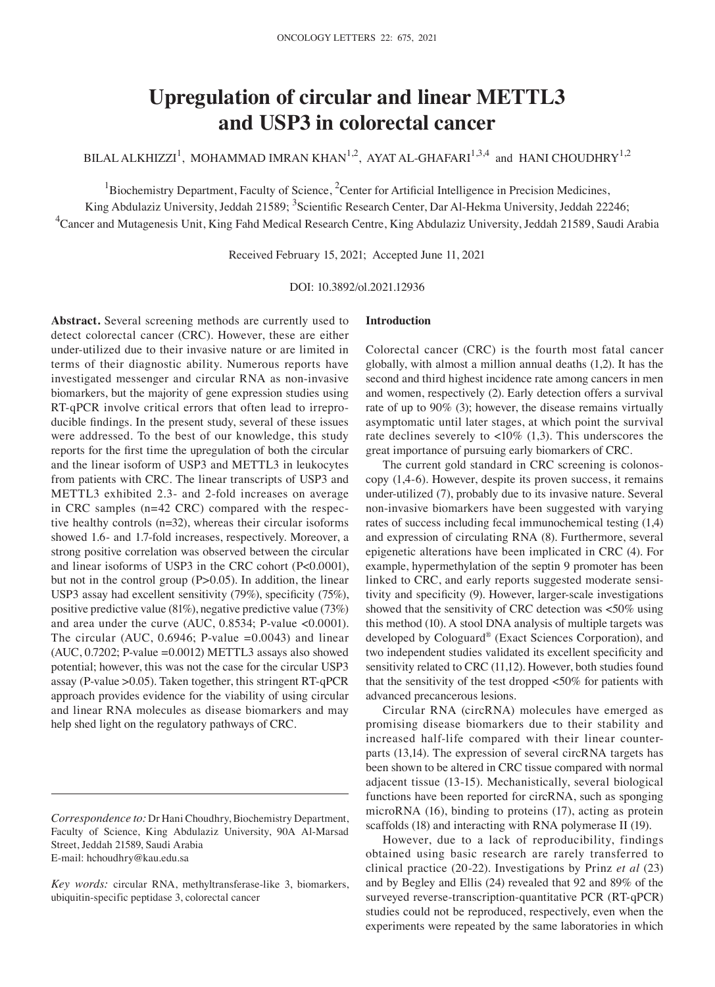# **Upregulation of circular and linear METTL3 and USP3 in colorectal cancer**

BILAL ALKHIZZI<sup>1</sup>, MOHAMMAD IMRAN KHAN<sup>1,2</sup>, AYAT AL-GHAFARI<sup>1,3,4</sup> and HANI CHOUDHRY<sup>1,2</sup>

<sup>1</sup>Biochemistry Department, Faculty of Science,  ${}^{2}$ Center for Artificial Intelligence in Precision Medicines,

King Abdulaziz University, Jeddah 21589; <sup>3</sup>Scientific Research Center, Dar Al-Hekma University, Jeddah 22246; <sup>4</sup>Cancer and Mutagenesis Unit, King Fahd Medical Research Centre, King Abdulaziz University, Jeddah 21589, Saudi Arabia

Received February 15, 2021; Accepted June 11, 2021

DOI: 10.3892/ol.2021.12936

**Abstract.** Several screening methods are currently used to detect colorectal cancer (CRC). However, these are either under‑utilized due to their invasive nature or are limited in terms of their diagnostic ability. Numerous reports have investigated messenger and circular RNA as non‑invasive biomarkers, but the majority of gene expression studies using RT-qPCR involve critical errors that often lead to irreproducible findings. In the present study, several of these issues were addressed. To the best of our knowledge, this study reports for the first time the upregulation of both the circular and the linear isoform of USP3 and METTL3 in leukocytes from patients with CRC. The linear transcripts of USP3 and METTL3 exhibited 2.3‑ and 2‑fold increases on average in CRC samples  $(n=42 \text{ CRC})$  compared with the respective healthy controls (n=32), whereas their circular isoforms showed 1.6‑ and 1.7‑fold increases, respectively. Moreover, a strong positive correlation was observed between the circular and linear isoforms of USP3 in the CRC cohort (P<0.0001), but not in the control group (P>0.05). In addition, the linear USP3 assay had excellent sensitivity (79%), specificity (75%), positive predictive value (81%), negative predictive value (73%) and area under the curve (AUC, 0.8534; P-value <0.0001). The circular (AUC,  $0.6946$ ; P-value =0.0043) and linear  $(AUC, 0.7202; P-value = 0.0012) METTL3$  assays also showed potential; however, this was not the case for the circular USP3 assay (P-value  $>0.05$ ). Taken together, this stringent RT-qPCR approach provides evidence for the viability of using circular and linear RNA molecules as disease biomarkers and may help shed light on the regulatory pathways of CRC.

# **Introduction**

Colorectal cancer (CRC) is the fourth most fatal cancer globally, with almost a million annual deaths (1,2). It has the second and third highest incidence rate among cancers in men and women, respectively (2). Early detection offers a survival rate of up to 90% (3); however, the disease remains virtually asymptomatic until later stages, at which point the survival rate declines severely to  $< 10\%$  (1,3). This underscores the great importance of pursuing early biomarkers of CRC.

The current gold standard in CRC screening is colonoscopy (1,4‑6). However, despite its proven success, it remains under‑utilized (7), probably due to its invasive nature. Several non‑invasive biomarkers have been suggested with varying rates of success including fecal immunochemical testing (1,4) and expression of circulating RNA (8). Furthermore, several epigenetic alterations have been implicated in CRC (4). For example, hypermethylation of the septin 9 promoter has been linked to CRC, and early reports suggested moderate sensitivity and specificity (9). However, larger‑scale investigations showed that the sensitivity of CRC detection was <50% using this method (10). A stool DNA analysis of multiple targets was developed by Cologuard® (Exact Sciences Corporation), and two independent studies validated its excellent specificity and sensitivity related to CRC (11,12). However, both studies found that the sensitivity of the test dropped <50% for patients with advanced precancerous lesions.

Circular RNA (circRNA) molecules have emerged as promising disease biomarkers due to their stability and increased half-life compared with their linear counterparts (13,14). The expression of several circRNA targets has been shown to be altered in CRC tissue compared with normal adjacent tissue (13‑15). Mechanistically, several biological functions have been reported for circRNA, such as sponging microRNA (16), binding to proteins (17), acting as protein scaffolds (18) and interacting with RNA polymerase II (19).

However, due to a lack of reproducibility, findings obtained using basic research are rarely transferred to clinical practice (20‑22). Investigations by Prinz *et al* (23) and by Begley and Ellis (24) revealed that 92 and 89% of the surveyed reverse-transcription-quantitative PCR (RT-qPCR) studies could not be reproduced, respectively, even when the experiments were repeated by the same laboratories in which

*Correspondence to:* Dr Hani Choudhry, Biochemistry Department, Faculty of Science, King Abdulaziz University, 90A Al-Marsad Street, Jeddah 21589, Saudi Arabia E‑mail: hchoudhry@kau.edu.sa

*Key words:* circular RNA, methyltransferase‑like 3, biomarkers, ubiquitin‑specific peptidase 3, colorectal cancer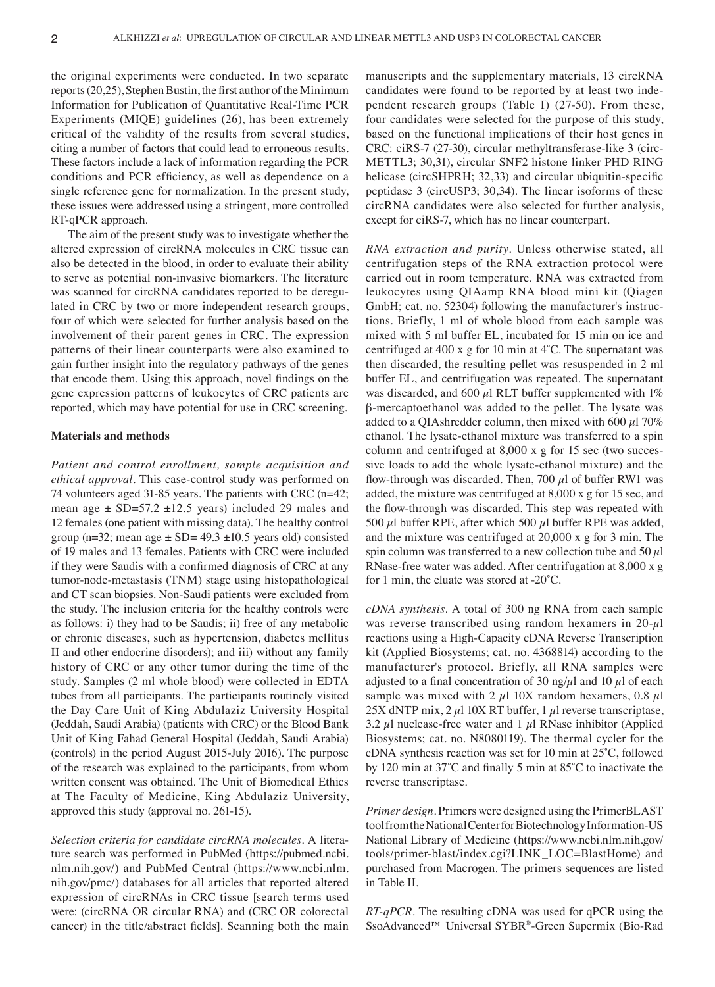the original experiments were conducted. In two separate reports(20,25), Stephen Bustin, the first author of the Minimum Information for Publication of Quantitative Real‑Time PCR Experiments (MIQE) guidelines (26), has been extremely critical of the validity of the results from several studies, citing a number of factors that could lead to erroneous results. These factors include a lack of information regarding the PCR conditions and PCR efficiency, as well as dependence on a single reference gene for normalization. In the present study, these issues were addressed using a stringent, more controlled RT‑qPCR approach.

The aim of the present study was to investigate whether the altered expression of circRNA molecules in CRC tissue can also be detected in the blood, in order to evaluate their ability to serve as potential non‑invasive biomarkers. The literature was scanned for circRNA candidates reported to be deregulated in CRC by two or more independent research groups, four of which were selected for further analysis based on the involvement of their parent genes in CRC. The expression patterns of their linear counterparts were also examined to gain further insight into the regulatory pathways of the genes that encode them. Using this approach, novel findings on the gene expression patterns of leukocytes of CRC patients are reported, which may have potential for use in CRC screening.

## **Materials and methods**

*Patient and control enrollment, sample acquisition and ethical approval.* This case‑control study was performed on 74 volunteers aged 31-85 years. The patients with CRC (n=42; mean age  $\pm$  SD=57.2  $\pm$ 12.5 years) included 29 males and 12 females (one patient with missing data). The healthy control group (n=32; mean age  $\pm$  SD= 49.3  $\pm$ 10.5 years old) consisted of 19 males and 13 females. Patients with CRC were included if they were Saudis with a confirmed diagnosis of CRC at any tumor‑node‑metastasis (TNM) stage using histopathological and CT scan biopsies. Non‑Saudi patients were excluded from the study. The inclusion criteria for the healthy controls were as follows: i) they had to be Saudis; ii) free of any metabolic or chronic diseases, such as hypertension, diabetes mellitus II and other endocrine disorders); and iii) without any family history of CRC or any other tumor during the time of the study. Samples (2 ml whole blood) were collected in EDTA tubes from all participants. The participants routinely visited the Day Care Unit of King Abdulaziz University Hospital (Jeddah, Saudi Arabia) (patients with CRC) or the Blood Bank Unit of King Fahad General Hospital (Jeddah, Saudi Arabia) (controls) in the period August 2015‑July 2016). The purpose of the research was explained to the participants, from whom written consent was obtained. The Unit of Biomedical Ethics at The Faculty of Medicine, King Abdulaziz University, approved this study (approval no. 261‑15).

*Selection criteria for candidate circRNA molecules.* A litera‑ ture search was performed in PubMed (https://pubmed.ncbi. nlm.nih.gov/) and PubMed Central (https://www.ncbi.nlm. nih.gov/pmc/) databases for all articles that reported altered expression of circRNAs in CRC tissue [search terms used were: (circRNA OR circular RNA) and (CRC OR colorectal cancer) in the title/abstract fields]. Scanning both the main manuscripts and the supplementary materials, 13 circRNA candidates were found to be reported by at least two independent research groups (Table I) (27-50). From these, four candidates were selected for the purpose of this study, based on the functional implications of their host genes in CRC: ciRS-7 (27-30), circular methyltransferase-like 3 (circ-METTL3; 30,31), circular SNF2 histone linker PHD RING helicase (circSHPRH; 32,33) and circular ubiquitin-specific peptidase 3 (circUSP3; 30,34). The linear isoforms of these circRNA candidates were also selected for further analysis, except for ciRS-7, which has no linear counterpart.

*RNA extraction and purity.* Unless otherwise stated, all centrifugation steps of the RNA extraction protocol were carried out in room temperature. RNA was extracted from leukocytes using QIAamp RNA blood mini kit (Qiagen GmbH; cat. no. 52304) following the manufacturer's instructions. Briefly, 1 ml of whole blood from each sample was mixed with 5 ml buffer EL, incubated for 15 min on ice and centrifuged at 400 x g for 10 min at 4˚C. The supernatant was then discarded, the resulting pellet was resuspended in 2 ml buffer EL, and centrifugation was repeated. The supernatant was discarded, and 600  $\mu$ l RLT buffer supplemented with 1% β‑mercaptoethanol was added to the pellet. The lysate was added to a QIAshredder column, then mixed with 600  $\mu$ l 70% ethanol. The lysate‑ethanol mixture was transferred to a spin column and centrifuged at  $8,000 \times g$  for 15 sec (two successive loads to add the whole lysate‑ethanol mixture) and the flow-through was discarded. Then, 700  $\mu$ l of buffer RW1 was added, the mixture was centrifuged at 8,000 x g for 15 sec, and the flow‑through was discarded. This step was repeated with 500  $\mu$ l buffer RPE, after which 500  $\mu$ l buffer RPE was added, and the mixture was centrifuged at 20,000 x g for 3 min. The spin column was transferred to a new collection tube and 50  $\mu$ l RNase‑free water was added. After centrifugation at 8,000 x g for 1 min, the eluate was stored at  $-20^{\circ}$ C.

*cDNA synthesis.* A total of 300 ng RNA from each sample was reverse transcribed using random hexamers in  $20-\mu l$ reactions using a High‑Capacity cDNA Reverse Transcription kit (Applied Biosystems; cat. no. 4368814) according to the manufacturer's protocol. Briefly, all RNA samples were adjusted to a final concentration of 30 ng/ $\mu$ l and 10  $\mu$ l of each sample was mixed with 2  $\mu$ l 10X random hexamers, 0.8  $\mu$ l 25X dNTP mix, 2  $\mu$ 1 10X RT buffer, 1  $\mu$ l reverse transcriptase, 3.2  $\mu$ l nuclease-free water and 1  $\mu$ l RNase inhibitor (Applied Biosystems; cat. no. N8080119). The thermal cycler for the cDNA synthesis reaction was set for 10 min at 25˚C, followed by 120 min at 37˚C and finally 5 min at 85˚C to inactivate the reverse transcriptase.

*Primer design.* Primers were designed using the PrimerBLAST tool from the National Center for Biotechnology Information‑US National Library of Medicine (https://www.ncbi.nlm.nih.gov/ tools/primer‑blast/index.cgi?LINK\_LOC=BlastHome) and purchased from Macrogen. The primers sequences are listed in Table II.

*RT‑qPCR.* The resulting cDNA was used for qPCR using the SsoAdvanced™ Universal SYBR®‑Green Supermix (Bio‑Rad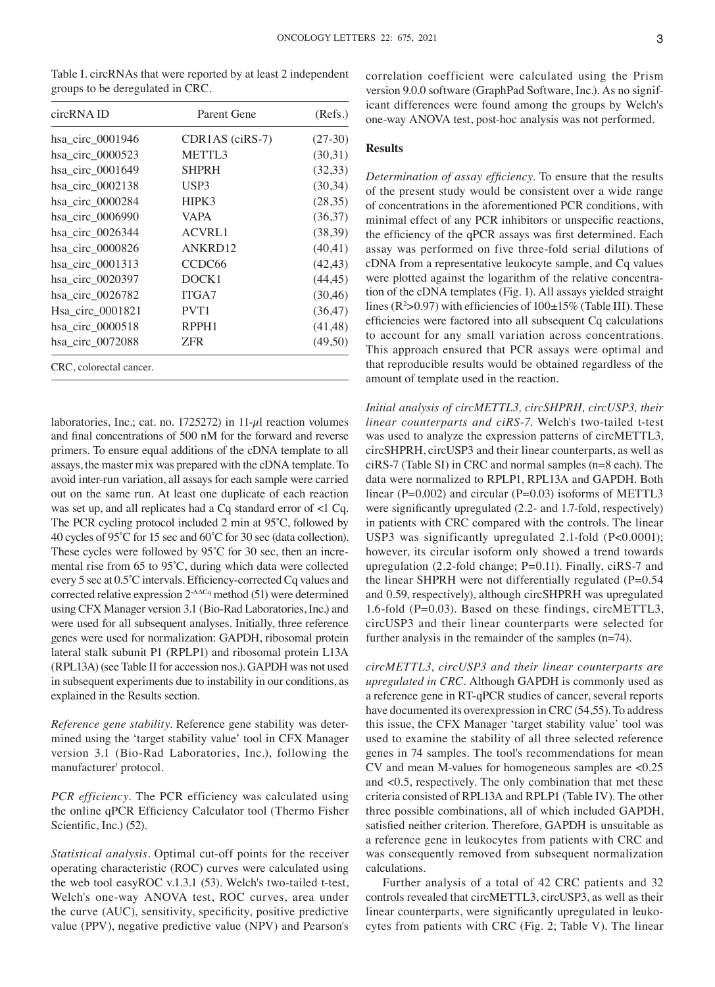| $S1$ , $S2$ , $S3$ , $S4$ , $S5$ , $S6$ , $S7$ , $S8$ , $S1$ , $S1$ , $S1$ , $S1$ , $S1$ , $S1$ , $S1$ , $S1$ , $S1$ , |                    |           |  |  |  |
|------------------------------------------------------------------------------------------------------------------------|--------------------|-----------|--|--|--|
| circRNA ID                                                                                                             | Parent Gene        | (Refs.)   |  |  |  |
| hsa_circ_0001946                                                                                                       | $CDR1AS$ (ciRS-7)  | $(27-30)$ |  |  |  |
| hsa circ 0000523                                                                                                       | METTL3             | (30,31)   |  |  |  |
| hsa_circ_0001649                                                                                                       | <b>SHPRH</b>       | (32,33)   |  |  |  |
| hsa_circ_0002138                                                                                                       | USP3               | (30,34)   |  |  |  |
| hsa_circ_0000284                                                                                                       | HIPK3              | (28,35)   |  |  |  |
| hsa_circ_0006990                                                                                                       | <b>VAPA</b>        | (36,37)   |  |  |  |
| hsa_circ_0026344                                                                                                       | <b>ACVRL1</b>      | (38,39)   |  |  |  |
| hsa_circ_0000826                                                                                                       | ANKRD12            | (40, 41)  |  |  |  |
| hsa_circ_0001313                                                                                                       | CCDC <sub>66</sub> | (42, 43)  |  |  |  |
| hsa circ 0020397                                                                                                       | DOCK1              | (44, 45)  |  |  |  |
| hsa_circ_0026782                                                                                                       | ITGA7              | (30,46)   |  |  |  |
| Hsa_circ_0001821                                                                                                       | PVT1               | (36, 47)  |  |  |  |
| hsa_circ_0000518                                                                                                       | RPPH1              | (41, 48)  |  |  |  |
| hsa circ 0072088                                                                                                       | ZFR                | (49,50)   |  |  |  |

CRC, colorectal cancer.

Table I. circRNAs that were reported by at least 2 independent groups to be deregulated in CRC.

laboratories, Inc.; cat. no. 1725272) in 11- $\mu$ l reaction volumes and final concentrations of 500 nM for the forward and reverse primers. To ensure equal additions of the cDNA template to all assays, the master mix was prepared with the cDNA template. To avoid inter‑run variation, all assays for each sample were carried out on the same run. At least one duplicate of each reaction was set up, and all replicates had a Cq standard error of <1 Cq. The PCR cycling protocol included 2 min at 95˚C, followed by 40 cycles of 95˚C for 15 sec and 60˚C for 30 sec (data collection). These cycles were followed by  $95^{\circ}$ C for 30 sec, then an incremental rise from 65 to 95˚C, during which data were collected every 5 sec at 0.5˚C intervals. Efficiency‑corrected Cq values and corrected relative expression  $2^{\Delta\Delta Cq}$  method (51) were determined using CFX Manager version 3.1 (Bio‑Rad Laboratories, Inc.) and were used for all subsequent analyses. Initially, three reference genes were used for normalization: GAPDH, ribosomal protein lateral stalk subunit P1 (RPLP1) and ribosomal protein L13A (RPL13A) (see Table II for accession nos.). GAPDH was not used in subsequent experiments due to instability in our conditions, as explained in the Results section.

*Reference gene stability.* Reference gene stability was determined using the 'target stability value' tool in CFX Manager version 3.1 (Bio‑Rad Laboratories, Inc.), following the manufacturer' protocol.

*PCR efficiency.* The PCR efficiency was calculated using the online qPCR Efficiency Calculator tool (Thermo Fisher Scientific, Inc.) (52).

*Statistical analysis.* Optimal cut‑off points for the receiver operating characteristic (ROC) curves were calculated using the web tool easy ROC v.1.3.1  $(53)$ . Welch's two-tailed t-test, Welch's one‑way ANOVA test, ROC curves, area under the curve (AUC), sensitivity, specificity, positive predictive value (PPV), negative predictive value (NPV) and Pearson's correlation coefficient were calculated using the Prism version 9.0.0 software (GraphPad Software, Inc.). As no significant differences were found among the groups by Welch's one‑way ANOVA test, post‑hoc analysis was not performed.

# **Results**

*Determination of assay efficiency.* To ensure that the results of the present study would be consistent over a wide range of concentrations in the aforementioned PCR conditions, with minimal effect of any PCR inhibitors or unspecific reactions, the efficiency of the qPCR assays was first determined. Each assay was performed on five three‑fold serial dilutions of cDNA from a representative leukocyte sample, and Cq values were plotted against the logarithm of the relative concentration of the cDNA templates (Fig. 1). All assays yielded straight lines ( $R^2 > 0.97$ ) with efficiencies of  $100 \pm 15\%$  (Table III). These efficiencies were factored into all subsequent Cq calculations to account for any small variation across concentrations. This approach ensured that PCR assays were optimal and that reproducible results would be obtained regardless of the amount of template used in the reaction.

*Initial analysis of circMETTL3, circSHPRH, circUSP3, their linear counterparts and ciRS‑7.* Welch's two‑tailed t‑test was used to analyze the expression patterns of circMETTL3, circSHPRH, circUSP3 and their linear counterparts, as well as ciRS‑7 (Table SI) in CRC and normal samples (n=8 each). The data were normalized to RPLP1, RPL13A and GAPDH. Both linear (P=0.002) and circular (P=0.03) isoforms of METTL3 were significantly upregulated  $(2.2-$  and 1.7-fold, respectively) in patients with CRC compared with the controls. The linear USP3 was significantly upregulated 2.1-fold (P<0.0001); however, its circular isoform only showed a trend towards upregulation (2.2-fold change; P=0.11). Finally, ciRS-7 and the linear SHPRH were not differentially regulated  $(P=0.54)$ and 0.59, respectively), although circSHPRH was upregulated 1.6‑fold (P=0.03). Based on these findings, circMETTL3, circUSP3 and their linear counterparts were selected for further analysis in the remainder of the samples (n=74).

*circMETTL3, circUSP3 and their linear counterparts are upregulated in CRC.* Although GAPDH is commonly used as a reference gene in RT‑qPCR studies of cancer, several reports have documented its overexpression in CRC (54,55). To address this issue, the CFX Manager 'target stability value' tool was used to examine the stability of all three selected reference genes in 74 samples. The tool's recommendations for mean CV and mean M‑values for homogeneous samples are <0.25 and <0.5, respectively. The only combination that met these criteria consisted of RPL13A and RPLP1 (Table IV). The other three possible combinations, all of which included GAPDH, satisfied neither criterion. Therefore, GAPDH is unsuitable as a reference gene in leukocytes from patients with CRC and was consequently removed from subsequent normalization calculations.

Further analysis of a total of 42 CRC patients and 32 controls revealed that circMETTL3, circUSP3, as well as their linear counterparts, were significantly upregulated in leukocytes from patients with CRC (Fig. 2; Table V). The linear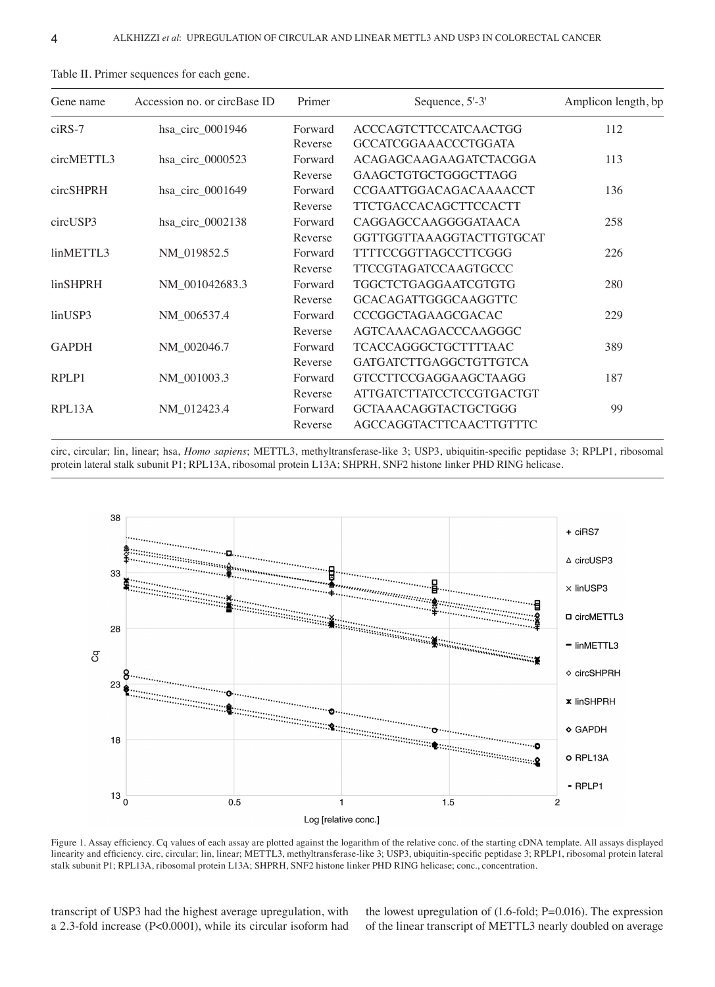| Gene name                | Accession no. or circBase ID | Primer             | Sequence, 5'-3'                                                 | Amplicon length, bp |  |
|--------------------------|------------------------------|--------------------|-----------------------------------------------------------------|---------------------|--|
| $c$ <sub>i</sub> $RS$ -7 | hsa_circ_0001946             | Forward<br>Reverse | <b>ACCCAGTCTTCCATCAACTGG</b><br><b>GCCATCGGAAACCCTGGATA</b>     | 112                 |  |
| circMETTL3               | hsa_circ_0000523             | Forward<br>Reverse | ACAGAGCAAGAAGATCTACGGA<br>GAAGCTGTGCTGGGCTTAGG                  | 113                 |  |
| circSHPRH                | hsa_circ_0001649             | Forward<br>Reverse | CCGAATTGGACAGACAAAACCT<br><b>TTCTGACCACAGCTTCCACTT</b>          | 136                 |  |
| circUSP3                 | hsa_circ_0002138             | Forward<br>Reverse | CAGGAGCCAAGGGGATAACA<br>GGTTGGTTAAAGGTACTTGTGCAT                | 258                 |  |
| linMETTL3                | NM_019852.5                  | Forward<br>Reverse | <b>TTTTCCGGTTAGCCTTCGGG</b><br>TTCCGTAGATCCAAGTGCCC             | 226                 |  |
| <b>linSHPRH</b>          | NM_001042683.3               | Forward<br>Reverse | <b>TGGCTCTGAGGAATCGTGTG</b><br>GCACAGATTGGGCAAGGTTC             | 280                 |  |
| linUSP3                  | NM_006537.4                  | Forward<br>Reverse | CCCGGCTAGAAGCGACAC<br>AGTCAAACAGACCCAAGGGC                      | 229                 |  |
| <b>GAPDH</b>             | NM 002046.7                  | Forward<br>Reverse | <b>TCACCAGGGCTGCTTTTAAC</b><br>GATGATCTTGAGGCTGTTGTCA           | 389                 |  |
| RPLP1                    | NM_001003.3                  | Forward<br>Reverse | <b>GTCCTTCCGAGGAAGCTAAGG</b><br><b>ATTGATCTTATCCTCCGTGACTGT</b> | 187                 |  |
| RPL13A                   | NM_012423.4                  | Forward<br>Reverse | <b>GCTAAACAGGTACTGCTGGG</b><br>AGCCAGGTACTTCAACTTGTTTC          | 99                  |  |

Table II. Primer sequences for each gene.

circ, circular; lin, linear; hsa, *Homo sapiens*; METTL3, methyltransferase‑like 3; USP3, ubiquitin‑specific peptidase 3; RPLP1, ribosomal protein lateral stalk subunit P1; RPL13A, ribosomal protein L13A; SHPRH, SNF2 histone linker PHD RING helicase.



Figure 1. Assay efficiency. Cq values of each assay are plotted against the logarithm of the relative conc. of the starting cDNA template. All assays displayed linearity and efficiency. circ, circular; lin, linear; METTL3, methyltransferase-like 3; USP3, ubiquitin-specific peptidase 3; RPLP1, ribosomal protein lateral stalk subunit P1; RPL13A, ribosomal protein L13A; SHPRH, SNF2 histone linker PHD RING helicase; conc., concentration.

transcript of USP3 had the highest average upregulation, with a 2.3‑fold increase (P<0.0001), while its circular isoform had the lowest upregulation of (1.6‑fold; P=0.016). The expression of the linear transcript of METTL3 nearly doubled on average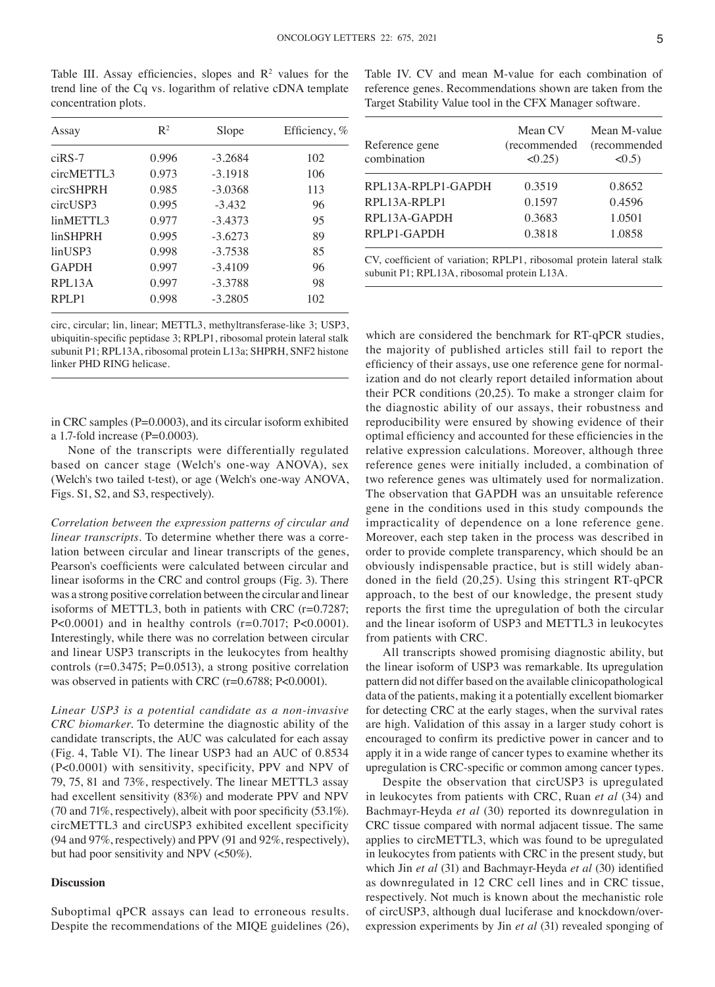Table III. Assay efficiencies, slopes and  $\mathbb{R}^2$  values for the trend line of the Cq vs. logarithm of relative cDNA template concentration plots. Assay  $R^2$  Slope Efficiency, % ciRS‑7 0.996 ‑3.2684 102

| $ciRS-7$     | 0.996 | $-3.2684$ | 102 |
|--------------|-------|-----------|-----|
| circMETTL3   | 0.973 | $-3.1918$ | 106 |
| circSHPRH    | 0.985 | $-3.0368$ | 113 |
| circUSP3     | 0.995 | $-3.432$  | 96  |
| linMETTL3    | 0.977 | $-3.4373$ | 95  |
| linSHPRH     | 0.995 | $-3.6273$ | 89  |
| linUSP3      | 0.998 | $-3.7538$ | 85  |
| <b>GAPDH</b> | 0.997 | $-3.4109$ | 96  |
| RPL13A       | 0.997 | $-3.3788$ | 98  |
| RPLP1        | 0.998 | $-3.2805$ | 102 |
|              |       |           |     |

circ, circular; lin, linear; METTL3, methyltransferase‑like 3; USP3, ubiquitin‑specific peptidase 3; RPLP1, ribosomal protein lateral stalk subunit P1; RPL13A, ribosomal protein L13a; SHPRH, SNF2 histone linker PHD RING helicase.

in CRC samples (P=0.0003), and its circular isoform exhibited a 1.7-fold increase  $(P=0.0003)$ .

None of the transcripts were differentially regulated based on cancer stage (Welch's one‑way ANOVA), sex (Welch's two tailed t‑test), or age (Welch's one‑way ANOVA, Figs. S1, S2, and S3, respectively).

*Correlation between the expression patterns of circular and linear transcripts*. To determine whether there was a correlation between circular and linear transcripts of the genes, Pearson's coefficients were calculated between circular and linear isoforms in the CRC and control groups (Fig. 3). There was a strong positive correlation between the circular and linear isoforms of METTL3, both in patients with CRC (r=0.7287; P<0.0001) and in healthy controls  $(r=0.7017; P<0.0001)$ . Interestingly, while there was no correlation between circular and linear USP3 transcripts in the leukocytes from healthy controls (r=0.3475; P=0.0513), a strong positive correlation was observed in patients with CRC (r=0.6788; P<0.0001).

*Linear USP3 is a potential candidate as a non‑invasive CRC biomarker.* To determine the diagnostic ability of the candidate transcripts, the AUC was calculated for each assay (Fig. 4, Table VI). The linear USP3 had an AUC of 0.8534 (P<0.0001) with sensitivity, specificity, PPV and NPV of 79, 75, 81 and 73%, respectively. The linear METTL3 assay had excellent sensitivity (83%) and moderate PPV and NPV (70 and 71%, respectively), albeit with poor specificity (53.1%). circMETTL3 and circUSP3 exhibited excellent specificity (94 and 97%, respectively) and PPV (91 and 92%, respectively), but had poor sensitivity and NPV (<50%).

# **Discussion**

Suboptimal qPCR assays can lead to erroneous results. Despite the recommendations of the MIQE guidelines (26), Table IV. CV and mean M-value for each combination of reference genes. Recommendations shown are taken from the Target Stability Value tool in the CFX Manager software.

| Reference gene<br>combination | Mean CV<br>(recommended<br>$\leq 0.25$ | Mean M-value<br>(recommended<br>$\leq 0.5$ |
|-------------------------------|----------------------------------------|--------------------------------------------|
| RPL13A-RPLP1-GAPDH            | 0.3519                                 | 0.8652                                     |
| RPL13A-RPLP1                  | 0.1597                                 | 0.4596                                     |
| RPL13A-GAPDH                  | 0.3683                                 | 1.0501                                     |
| RPLP1-GAPDH                   | 0.3818                                 | 1.0858                                     |

CV, coefficient of variation; RPLP1, ribosomal protein lateral stalk subunit P1; RPL13A, ribosomal protein L13A.

which are considered the benchmark for RT‑qPCR studies, the majority of published articles still fail to report the efficiency of their assays, use one reference gene for normalization and do not clearly report detailed information about their PCR conditions (20,25). To make a stronger claim for the diagnostic ability of our assays, their robustness and reproducibility were ensured by showing evidence of their optimal efficiency and accounted for these efficiencies in the relative expression calculations. Moreover, although three reference genes were initially included, a combination of two reference genes was ultimately used for normalization. The observation that GAPDH was an unsuitable reference gene in the conditions used in this study compounds the impracticality of dependence on a lone reference gene. Moreover, each step taken in the process was described in order to provide complete transparency, which should be an obviously indispensable practice, but is still widely abandoned in the field (20,25). Using this stringent RT‑qPCR approach, to the best of our knowledge, the present study reports the first time the upregulation of both the circular and the linear isoform of USP3 and METTL3 in leukocytes from patients with CRC.

All transcripts showed promising diagnostic ability, but the linear isoform of USP3 was remarkable. Its upregulation pattern did not differ based on the available clinicopathological data of the patients, making it a potentially excellent biomarker for detecting CRC at the early stages, when the survival rates are high. Validation of this assay in a larger study cohort is encouraged to confirm its predictive power in cancer and to apply it in a wide range of cancer types to examine whether its upregulation is CRC‑specific or common among cancer types.

Despite the observation that circUSP3 is upregulated in leukocytes from patients with CRC, Ruan *et al* (34) and Bachmayr‑Heyda *et al* (30) reported its downregulation in CRC tissue compared with normal adjacent tissue. The same applies to circMETTL3, which was found to be upregulated in leukocytes from patients with CRC in the present study, but which Jin *et al* (31) and Bachmayr‑Heyda *et al* (30) identified as downregulated in 12 CRC cell lines and in CRC tissue, respectively. Not much is known about the mechanistic role of circUSP3, although dual luciferase and knockdown/overexpression experiments by Jin *et al* (31) revealed sponging of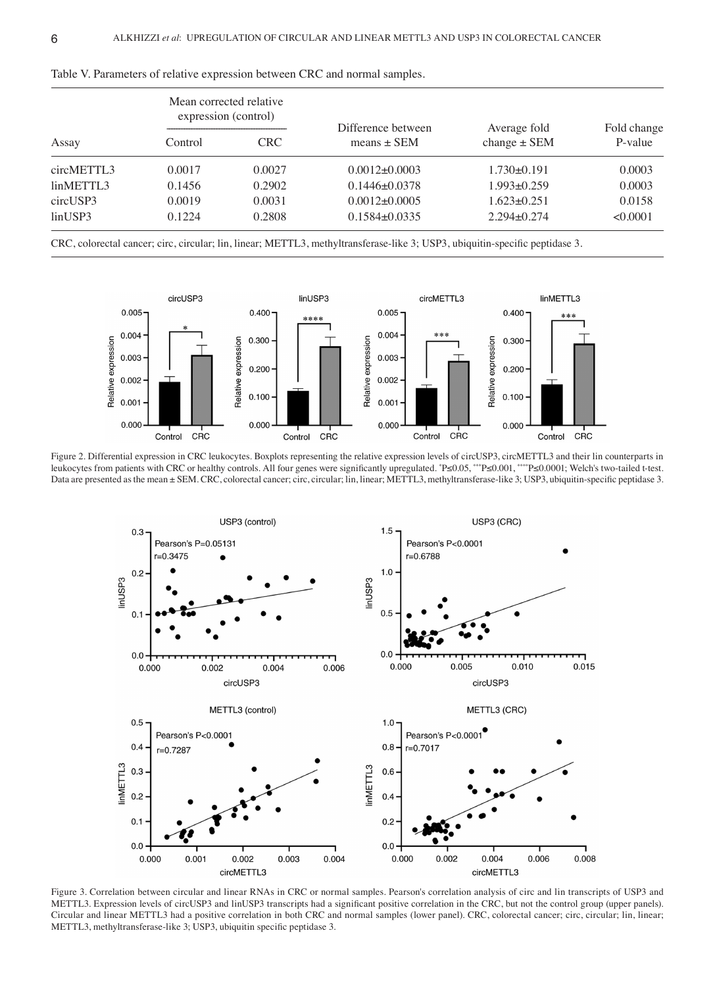|            | Mean corrected relative<br>expression (control) |            | Difference between  | Average fold      | Fold change |
|------------|-------------------------------------------------|------------|---------------------|-------------------|-------------|
| Assay      | Control                                         | <b>CRC</b> | means $\pm$ SEM     | change $\pm$ SEM  | P-value     |
| circMETTL3 | 0.0017                                          | 0.0027     | $0.0012 \pm 0.0003$ | $1.730\pm0.191$   | 0.0003      |
| linMETTL3  | 0.1456                                          | 0.2902     | $0.1446 \pm 0.0378$ | $1.993 \pm 0.259$ | 0.0003      |
| circUSP3   | 0.0019                                          | 0.0031     | $0.0012\pm0.0005$   | $1.623 \pm 0.251$ | 0.0158      |
| linUSP3    | 0.1224                                          | 0.2808     | $0.1584\pm0.0335$   | $2.294 \pm 0.274$ | < 0.0001    |

Table V. Parameters of relative expression between CRC and normal samples.

CRC, colorectal cancer; circ, circular; lin, linear; METTL3, methyltransferase‑like 3; USP3, ubiquitin‑specific peptidase 3.



Figure 2. Differential expression in CRC leukocytes. Boxplots representing the relative expression levels of circUSP3, circMETTL3 and their lin counterparts in leukocytes from patients with CRC or healthy controls. All four genes were significantly upregulated. \* P≤0.05, \*\*\*P≤0.001, \*\*\*\*P≤0.0001; Welch's two‑tailed t‑test. Data are presented as the mean ± SEM. CRC, colorectal cancer; circ, circular; lin, linear; METTL3, methyltransferase-like 3; USP3, ubiquitin-specific peptidase 3.



Figure 3. Correlation between circular and linear RNAs in CRC or normal samples. Pearson's correlation analysis of circ and lin transcripts of USP3 and METTL3. Expression levels of circUSP3 and linUSP3 transcripts had a significant positive correlation in the CRC, but not the control group (upper panels). Circular and linear METTL3 had a positive correlation in both CRC and normal samples (lower panel). CRC, colorectal cancer; circ, circular; lin, linear; METTL3, methyltransferase-like 3; USP3, ubiquitin specific peptidase 3.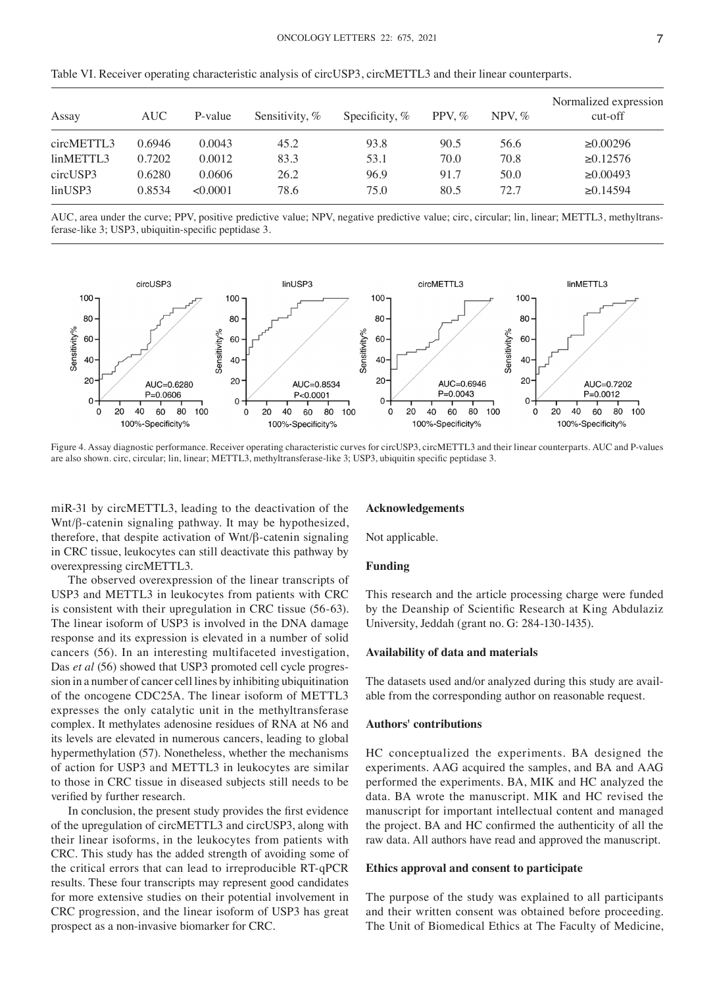| Assay      | AUC    | P-value  | Sensitivity, % | Specificity, $%$ | PPV, $%$ | NPV, $%$ | Normalized expression<br>cut-off |
|------------|--------|----------|----------------|------------------|----------|----------|----------------------------------|
| circMETTL3 | 0.6946 | 0.0043   | 45.2           | 93.8             | 90.5     | 56.6     | $\geq 0.00296$                   |
| linMETTL3  | 0.7202 | 0.0012   | 83.3           | 53.1             | 70.0     | 70.8     | $\geq 0.12576$                   |
| circUSP3   | 0.6280 | 0.0606   | 26.2           | 96.9             | 91.7     | 50.0     | $\geq 0.00493$                   |
| linUSP3    | 0.8534 | < 0.0001 | 78.6           | 75.0             | 80.5     | 72.7     | $\geq 0.14594$                   |

Table VI. Receiver operating characteristic analysis of circUSP3, circMETTL3 and their linear counterparts.

AUC, area under the curve; PPV, positive predictive value; NPV, negative predictive value; circ, circular; lin, linear; METTL3, methyltransferase‑like 3; USP3, ubiquitin‑specific peptidase 3.



Figure 4. Assay diagnostic performance. Receiver operating characteristic curves for circUSP3, circMETTL3 and their linear counterparts. AUC and P-values are also shown. circ, circular; lin, linear; METTL3, methyltransferase-like 3; USP3, ubiquitin specific peptidase 3.

miR‑31 by circMETTL3, leading to the deactivation of the Wnt/β-catenin signaling pathway. It may be hypothesized, therefore, that despite activation of Wnt/β‑catenin signaling in CRC tissue, leukocytes can still deactivate this pathway by overexpressing circMETTL3.

The observed overexpression of the linear transcripts of USP3 and METTL3 in leukocytes from patients with CRC is consistent with their upregulation in CRC tissue (56‑63). The linear isoform of USP3 is involved in the DNA damage response and its expression is elevated in a number of solid cancers (56). In an interesting multifaceted investigation, Das *et al* (56) showed that USP3 promoted cell cycle progression in a number of cancer cell lines by inhibiting ubiquitination of the oncogene CDC25A. The linear isoform of METTL3 expresses the only catalytic unit in the methyltransferase complex. It methylates adenosine residues of RNA at N6 and its levels are elevated in numerous cancers, leading to global hypermethylation (57). Nonetheless, whether the mechanisms of action for USP3 and METTL3 in leukocytes are similar to those in CRC tissue in diseased subjects still needs to be verified by further research.

In conclusion, the present study provides the first evidence of the upregulation of circMETTL3 and circUSP3, along with their linear isoforms, in the leukocytes from patients with CRC. This study has the added strength of avoiding some of the critical errors that can lead to irreproducible RT‑qPCR results. These four transcripts may represent good candidates for more extensive studies on their potential involvement in CRC progression, and the linear isoform of USP3 has great prospect as a non‑invasive biomarker for CRC.

#### **Acknowledgements**

Not applicable.

## **Funding**

This research and the article processing charge were funded by the Deanship of Scientific Research at King Abdulaziz University, Jeddah (grant no. G: 284-130-1435).

#### **Availability of data and materials**

The datasets used and/or analyzed during this study are available from the corresponding author on reasonable request.

# **Authors' contributions**

HC conceptualized the experiments. BA designed the experiments. AAG acquired the samples, and BA and AAG performed the experiments. BA, MIK and HC analyzed the data. BA wrote the manuscript. MIK and HC revised the manuscript for important intellectual content and managed the project. BA and HC confirmed the authenticity of all the raw data. All authors have read and approved the manuscript.

## **Ethics approval and consent to participate**

The purpose of the study was explained to all participants and their written consent was obtained before proceeding. The Unit of Biomedical Ethics at The Faculty of Medicine,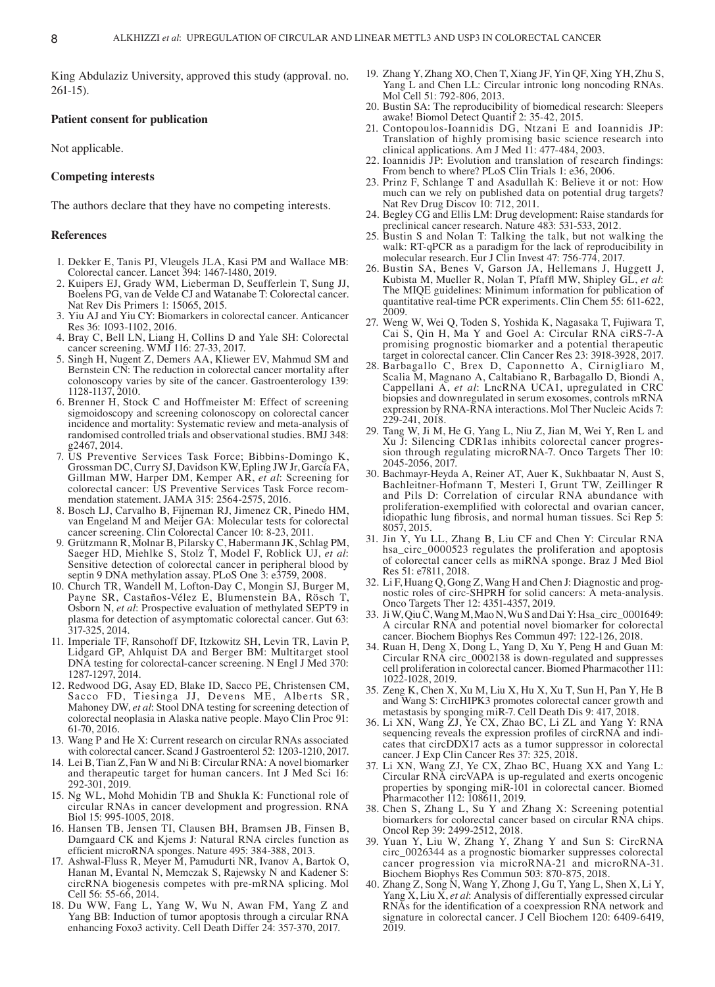King Abdulaziz University, approved this study (approval. no.  $261-15$ ).

# **Patient consent for publication**

Not applicable.

# **Competing interests**

The authors declare that they have no competing interests.

#### **References**

- 1. Dekker E, Tanis PJ, Vleugels JLA, Kasi PM and Wallace MB: Colorectal cancer. Lancet 394: 1467‑1480, 2019.
- 2. Kuipers EJ, Grady WM, Lieberman D, Seufferlein T, Sung JJ, Boelens PG, van de Velde CJ and Watanabe T: Colorectal cancer. Nat Rev Dis Primers 1: 15065, 2015.
- 3. Yiu AJ and Yiu CY: Biomarkers in colorectal cancer. Anticancer Res 36: 1093‑1102, 2016.
- 4. Bray C, Bell LN, Liang H, Collins D and Yale SH: Colorectal cancer screening. WMJ 116: 27‑33, 2017.
- 5. Singh H, Nugent Z, Demers AA, Kliewer EV, Mahmud SM and Bernstein CN: The reduction in colorectal cancer mortality after colonoscopy varies by site of the cancer. Gastroenterology 139: 1128‑1137, 2010.
- 6. Brenner H, Stock C and Hoffmeister M: Effect of screening sigmoidoscopy and screening colonoscopy on colorectal cancer incidence and mortality: Systematic review and meta-analysis of randomised controlled trials and observational studies. BMJ 348: g2467, 2014.
- 7. US Preventive Services Task Force; Bibbins‑Domingo K, Grossman DC, Curry SJ, Davidson KW, Epling JW Jr, García FA, Gillman MW, Harper DM, Kemper AR, *et al*: Screening for colorectal cancer: US Preventive Services Task Force recom-<br>mendation statement. JAMA 315: 2564-2575, 2016.<br>8. Bosch LJ, Carvalho B, Fijneman RJ, Jimenez CR, Pinedo HM,
- van Engeland M and Meijer GA: Molecular tests for colorectal cancer screening. Clin Colorectal Cancer 10: 8‑23, 2011.
- 9. Grützmann R, Molnar B, Pilarsky C, Habermann JK, Schlag PM, Saeger HD, Miehlke S, Stolz T, Model F, Roblick UJ, et al: Sensitive detection of colorectal cancer in peripheral blood by septin 9 DNA methylation assay. PLoS One  $\hat{3}$ : e $\hat{3}$ 759, 2008.
- 10. Church TR, Wandell M, Lofton‑Day C, Mongin SJ, Burger M, Payne SR, Castaños‑Vélez E, Blumenstein BA, Rösch T, Osborn N, *et al*: Prospective evaluation of methylated SEPT9 in plasma for detection of asymptomatic colorectal cancer. Gut 63: 317‑325, 2014.
- 11. Imperiale TF, Ransohoff DF, Itzkowitz SH, Levin TR, Lavin P, Lidgard GP, Ahlquist DA and Berger BM: Multitarget stool DNA testing for colorectal-cancer screening. N Engl J Med 370: 1287‑1297, 2014.
- 12. Redwood DG, Asay ED, Blake ID, Sacco PE, Christensen CM, Sacco FD, Tiesinga JJ, Devens ME, Alberts SR, Mahoney DW, *et al*: Stool DNA testing for screening detection of colorectal neoplasia in Alaska native people. Mayo Clin Proc 91: 61‑70, 2016.
- 13. Wang P and He X: Current research on circular RNAs associated with colorectal cancer. Scand J Gastroenterol 52: 1203‑1210, 2017.
- 14. Lei B, Tian Z, Fan W and Ni B: Circular RNA: A novel biomarker and therapeutic target for human cancers. Int J Med Sci 16: 292‑301, 2019.
- 15. Ng WL, Mohd Mohidin TB and Shukla K: Functional role of circular RNAs in cancer development and progression. RNA Biol 15: 995‑1005, 2018.
- 16. Hansen TB, Jensen TI, Clausen BH, Bramsen JB, Finsen B, Damgaard CK and Kjems J: Natural RNA circles function as efficient microRNA sponges. Nature 495: 384‑388, 2013.
- Ashwal-Fluss R, Meyer M, Pamudurti NR, Ivanov A, Bartok O, Hanan M, Evantal N, Memczak S, Rajewsky N and Kadener S: circRNA biogenesis competes with pre‑mRNA splicing. Mol Cell 56: 55‑66, 2014.
- 18. Du WW, Fang L, Yang W, Wu N, Awan FM, Yang Z and Yang BB: Induction of tumor apoptosis through a circular RNA enhancing Foxo3 activity. Cell Death Differ 24: 357‑370, 2017.
- 19. Zhang Y, Zhang XO, Chen T, Xiang JF, Yin QF, Xing YH, Zhu S, Yang L and Chen LL: Circular intronic long noncoding RNAs. Mol Cell 51: 792-806, 2013.
- 20. Bustin SA: The reproducibility of biomedical research: Sleepers awake! Biomol Detect Quantif 2: 35‑42, 2015.
- 21. Contopoulos-Ioannidis DG, Ntzani E and Ioannidis JP: Translation of highly promising basic science research into clinical applications. Am J Med 11: 477‑484, 2003.
- 22. Ioannidis JP: Evolution and translation of research findings: From bench to where? PLoS Clin Trials 1: e36, 2006.
- 23. Prinz F, Schlange T and Asadullah K: Believe it or not: How much can we rely on published data on potential drug targets? Nat Rev Drug Discov 10: 712, 2011.
- 24. Begley CG and Ellis LM: Drug development: Raise standards for preclinical cancer research. Nature 483: 531‑533, 2012.
- 25. Bustin S and Nolan T: Talking the talk, but not walking the walk: RT-qPCR as a paradigm for the lack of reproducibility in molecular research. Eur J Clin Invest 47: 756‑774, 2017.
- 26. Bustin SA, Benes V, Garson JA, Hellemans J, Huggett J, Kubista M, Mueller R, Nolan T, Pfaffl MW, Shipley GL, *et al*: The MIQE guidelines: Minimum information for publication of quantitative real-time PCR experiments. Clin Chem 55: 611-622, 2009.
- 27. Weng W, Wei Q, Toden S, Yoshida K, Nagasaka T, Fujiwara T, Cai S, Qin H, Ma Y and Goel A: Circular RNA ciRS‑7‑A promising prognostic biomarker and a potential therapeutic target in colorectal cancer. Clin Cancer Res 23: 3918‑3928, 2017.
- 28. Barbagallo C, Brex D, Caponnetto A, Cirnigliaro M, Scalia M, Magnano A, Caltabiano R, Barbagallo D, Biondi A, Cappellani A, *et al*: LncRNA UCA1, upregulated in CRC biopsies and downregulated in serum exosomes, controls mRNA expression by RNA‑RNA interactions. Mol Ther Nucleic Acids 7: 229‑241, 2018.
- 29. Tang W, Ji M, He G, Yang L, Niu Z, Jian M, Wei Y, Ren L and Xu J: Silencing CDR1as inhibits colorectal cancer progression through regulating microRNA‑7. Onco Targets Ther 10: 2045‑2056, 2017.
- 30. Bachmayr‑Heyda A, Reiner AT, Auer K, Sukhbaatar N, Aust S, Bachleitner‑Hofmann T, Mesteri I, Grunt TW, Zeillinger R and Pils D: Correlation of circular RNA abundance with proliferation‑exemplified with colorectal and ovarian cancer, idiopathic lung fibrosis, and normal human tissues. Sci Rep 5: 8057, 2015.
- 31. Jin Y, Yu LL, Zhang B, Liu CF and Chen Y: Circular RNA hsa\_circ\_0000523 regulates the proliferation and apoptosis of colorectal cancer cells as miRNA sponge. Braz J Med Biol Res 51: e7811, 2018.
- 32. Li F, Huang Q, Gong Z, Wang H and Chen J: Diagnostic and prognostic roles of circ‑SHPRH for solid cancers: A meta‑analysis. Onco Targets Ther 12: 4351‑4357, 2019.
- 33. JiW, QiuC, WangM, MaoN, Wu S and DaiY: Hsa\_circ\_0001649: A circular RNA and potential novel biomarker for colorectal cancer. Biochem Biophys Res Commun 497: 122‑126, 2018.
- 34. Ruan H, Deng X, Dong L, Yang D, Xu Y, Peng H and Guan M: Circular RNA circ\_0002138 is down‑regulated and suppresses cell proliferation in colorectal cancer. Biomed Pharmacother 111: 1022‑1028, 2019.
- 35. Zeng K, Chen X, Xu M, Liu X, Hu X, Xu T, Sun H, Pan Y, He B and Wang S: CircHIPK3 promotes colorectal cancer growth and metastasis by sponging miR‑7. Cell Death Dis 9: 417, 2018.
- 36. Li XN, Wang ZJ, Ye CX, Zhao BC, Li ZL and Yang Y: RNA sequencing reveals the expression profiles of circRNA and indicates that circDDX17 acts as a tumor suppressor in colorectal cancer. J Exp Clin Cancer Res 37: 325, 2018.
- 37. Li XN, Wang ZJ, Ye CX, Zhao BC, Huang XX and Yang L: Circular RNA circVAPA is up‑regulated and exerts oncogenic properties by sponging miR‑101 in colorectal cancer. Biomed Pharmacother 112: 108611, 2019.
- 38. Chen S, Zhang L, Su Y and Zhang X: Screening potential biomarkers for colorectal cancer based on circular RNA chips. Oncol Rep 39: 2499‑2512, 2018.
- 39. Yuan Y, Liu W, Zhang Y, Zhang Y and Sun S: CircRNA circ\_0026344 as a prognostic biomarker suppresses colorectal cancer progression via microRNA‑21 and microRNA‑31. Biochem Biophys Res Commun 503: 870‑875, 2018.
- 40. Zhang Z, Song N, Wang Y, Zhong J, Gu T, Yang L, Shen X, Li Y, Yang X, Liu X, *et al*: Analysis of differentially expressed circular RNAs for the identification of a coexpression RNA network and signature in colorectal cancer. J Cell Biochem 120: 6409-6419, 2019.